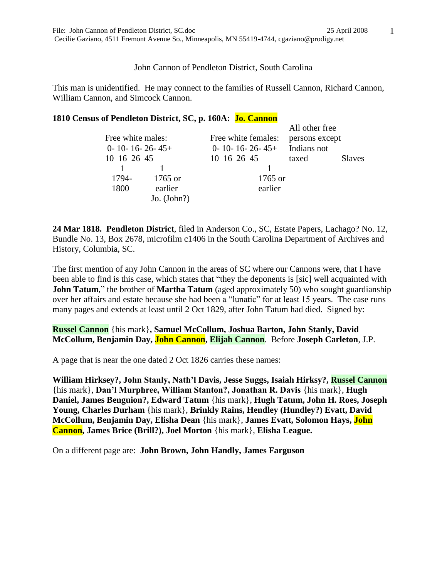John Cannon of Pendleton District, South Carolina

This man is unidentified. He may connect to the families of Russell Cannon, Richard Cannon, William Cannon, and Simcock Cannon.

## **1810 Census of Pendleton District, SC, p. 160A: Jo. Cannon**

|  |                                                |               |                           | All other free |               |
|--|------------------------------------------------|---------------|---------------------------|----------------|---------------|
|  | Free white males:<br>$0 - 10 - 16 - 26 - 45 +$ |               | Free white females:       | persons except |               |
|  |                                                |               | $0 - 10 - 16 - 26 - 45 +$ | Indians not    |               |
|  | 10 16 26 45                                    |               | 10 16 26 45               | taxed          | <b>Slaves</b> |
|  |                                                |               |                           |                |               |
|  | 1794-                                          | $1765$ or     | 1765 or                   |                |               |
|  | 1800                                           | earlier       | earlier                   |                |               |
|  |                                                | Jo. $(John?)$ |                           |                |               |

**24 Mar 1818. Pendleton District**, filed in Anderson Co., SC, Estate Papers, Lachago? No. 12, Bundle No. 13, Box 2678, microfilm c1406 in the South Carolina Department of Archives and History, Columbia, SC.

The first mention of any John Cannon in the areas of SC where our Cannons were, that I have been able to find is this case, which states that "they the deponents is [sic] well acquainted with **John Tatum**," the brother of **Martha Tatum** (aged approximately 50) who sought guardianship over her affairs and estate because she had been a "lunatic" for at least 15 years. The case runs many pages and extends at least until 2 Oct 1829, after John Tatum had died. Signed by:

**Russel Cannon** {his mark}**, Samuel McCollum, Joshua Barton, John Stanly, David McCollum, Benjamin Day, John Cannon, Elijah Cannon**. Before **Joseph Carleton**, J.P.

A page that is near the one dated 2 Oct 1826 carries these names:

**William Hirksey?, John Stanly, Nath'l Davis, Jesse Suggs, Isaiah Hirksy?, Russel Cannon** {his mark}, **Dan'l Murphree, William Stanton?, Jonathan R. Davis** {his mark}, **Hugh Daniel, James Benguion?, Edward Tatum** {his mark}, **Hugh Tatum, John H. Roes, Joseph Young, Charles Durham** {his mark}, **Brinkly Rains, Hendley (Hundley?) Evatt, David McCollum, Benjamin Day, Elisha Dean** {his mark}, **James Evatt, Solomon Hays, John Cannon, James Brice (Brill?), Joel Morton** {his mark}, **Elisha League.**

On a different page are: **John Brown, John Handly, James Farguson**

1